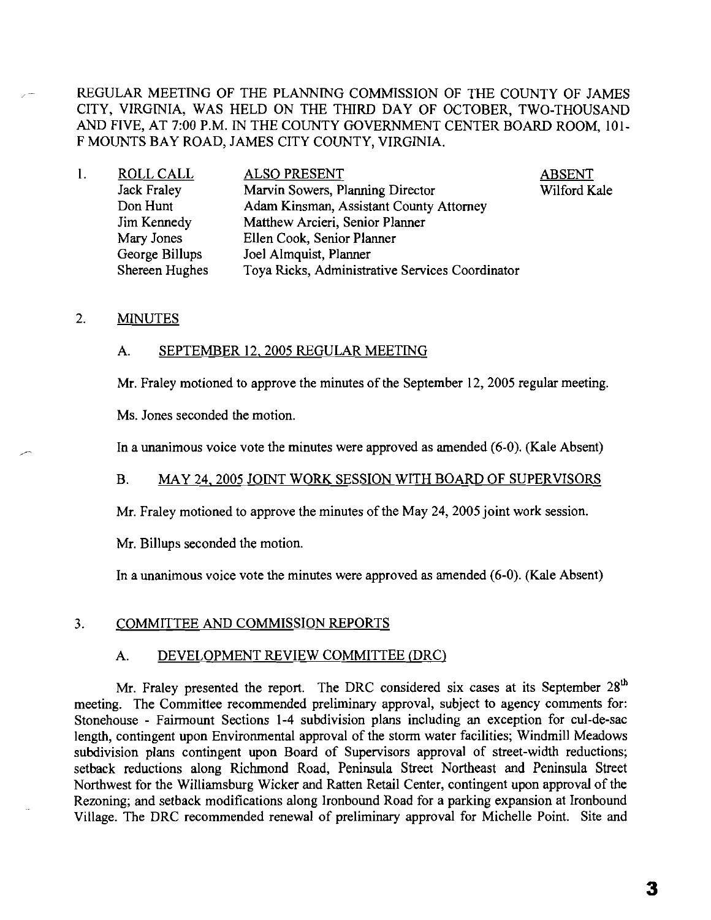REGULAR MEETING OF THE PLANNING COMMISSION OF THE COUNTY OF JAMES CITY, VIRGINIA, WAS HELD ON THE THIRD DAY OF OCTOBER, TWO-THOUSAND AND FIVE, AT 7:00 P.M. IN THE COUNTY GOVERNMENT CENTER BOARD ROOM, 101- F MOUNTS BAY ROAD, JAMES CITY COUNTY, VIRGINIA.

> ABSENT Wilford Kale

| l. | <b>ROLL CALL</b>   | <b>ALSO PRESENT</b>                             |
|----|--------------------|-------------------------------------------------|
|    | <b>Jack Fraley</b> | Marvin Sowers, Planning Director                |
|    | Don Hunt           | Adam Kinsman, Assistant County Attorney         |
|    | Jim Kennedy        | Matthew Arcieri, Senior Planner                 |
|    | Mary Jones         | Ellen Cook, Senior Planner                      |
|    | George Billups     | Joel Almquist, Planner                          |
|    | Shereen Hughes     | Toya Ricks, Administrative Services Coordinator |

## 2. **MINUTES**

### A. SEPTEMBER 12,2005 REGULAR MEETING

Mr. Fraley motioned to approve the minutes of the September 12, 2005 regular meeting.

Ms. Jones seconded the motion.

In a unanimous voice vote the minutes were approved as amended (6-0). (Kale Absent)

# B. MAY 24, 2005 JOINT WORK SESSION WITH BOARD OF SUPERVISORS

Mr. Fraley motioned to approve the minutes of the May 24, 2005 joint work session.

Mr. Billups seconded the motion.

In a unanimous voice vote the minutes were approved as amended (6-0). (Kale Absent)

#### 3. COMMITTEE AND COMMISSION REPORTS

## A. DEVELOPMENT REVIEW COMMITTEE (DRC)

Mr. Fraley presented the report. The DRC considered six cases at its September 28<sup>th</sup> meeting. The Committee recommended preliminary approval, subject to agency comments for: Stonehouse - Fairmount Sections I-4 subdivision plans including an exception for cul-de-sac length, contingent upon Environmental approval of the storm water facilities; Windmill Meadows subdivision plans contingent upon Board of Supervisors approval of street-width reductions; setback reductions along Richmond Road, Peninsula Street Northeast and Peninsula Street Northwest for the Williamsburg Wicker and Ratten Retail Center, contingent upon approval of the Rezoning; and setback modifications along Ironbound Road for a parking expansion at Ironbound Village. The DRC recommended renewal of preliminary approval for Michelle Point. Site and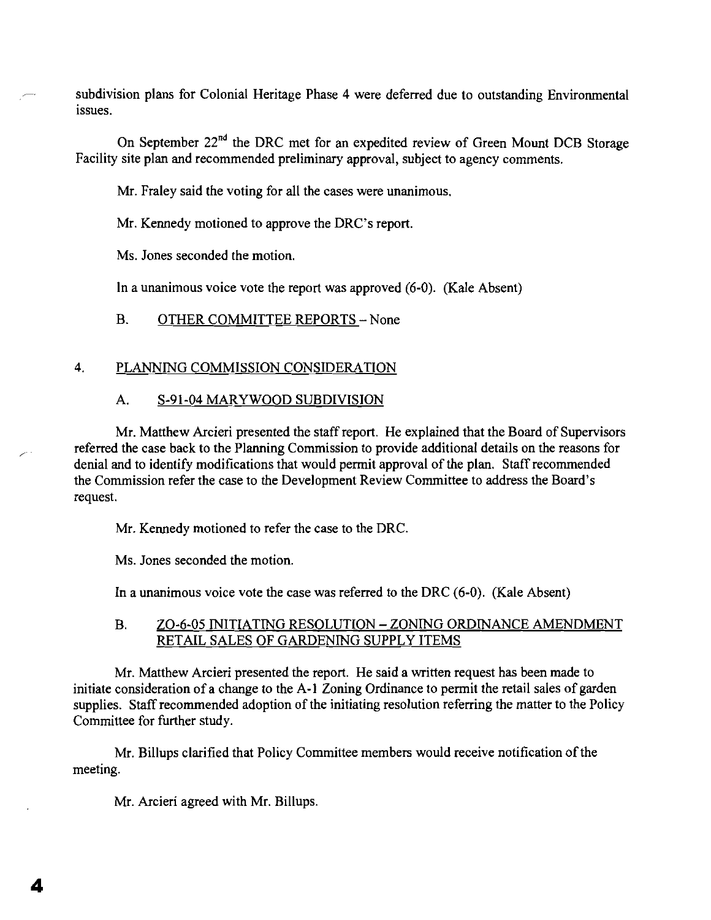subdivision plans for Colonial Heritage Phase 4 were deferred due to outstanding Environmental issues.

On September  $22^{nd}$  the DRC met for an expedited review of Green Mount DCB Storage Facility site plan and recommended preliminary approval, subject to agency comments.

Mr. Fraley said the voting for all the cases were unanimous.

Mr. Kennedy motioned to approve the DRC's report.

Ms. Jones seconded the motion.

In a unanimous voice vote the report was approved (6-0). (Kale Absent)

B. OTHER COMMITTEE REPORTS - None

## 4. PLANNING COMMISSION CONSIDERATION

## A. S-9I-04 MARYWOOD SUBDIVISION

Mr. Matthew Arcieri presented the staff report. He explained that the Board of Supervisors referred the case back to the Planning Commission to provide additional details on the reasons for denial and to identify modifications that would permit approval of the plan. Staff recommended the Commission refer the case to the Development Review Committee to address the Board's request.

Mr. Kennedy motioned to refer the case to the DRC.

Ms. Jones seconded the motion.

In a unanimous voice vote the case was referred to the DRC (6-0). (Kale Absent)

## B. ZO-6-05 INITIATING RESOLUTION - ZONING ORDINANCE AMENDMENT RETAIL SALES OF GARDENING SUPPLY ITEMS

Mr. Matthew Arcieri presented the report. He said a written request has been made to initiate consideration of a change to the A-1 Zoning Ordinance to permit the retail sales of garden supplies. Staff recommended adoption of the initiating resolution referring the matter to the Policy Committee for further study.

Mr. Billups clarified that Policy Committee members would receive notification of the meeting.

Mr. Arcieri agreed with Mr. Billups.

4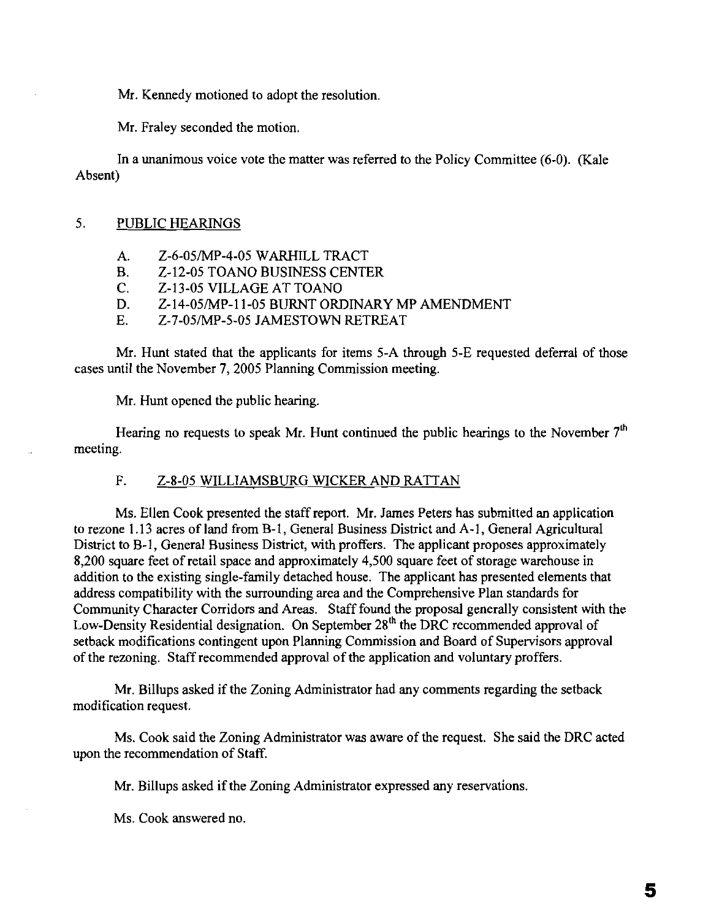Mr. Kennedy motioned to adopt the resolution.

Mr. Fraley seconded the motion.

In a unanimous voice vote the matter was referred to the Policy Committee (6-0). (Kale Absent)

## 5. PUBLIC HEARINGS

- A. Z-6-05/MP-4-05 WARHILL TRACT
- B. Z-12-05 TOANO BUSINESS CENTER<br>C. Z-13-05 VILLAGE AT TOANO
- C. Z-13-05 VILLAGE AT TOANO
- D. Z-14-05/MP-II-05 BURNT ORDINARY MP AMENDMENT
- E. Z-7-05/MP-5-05 JAMESTOWN RETREAT

Mr. Hunt stated that the applicants for items 5-A through 5-E requested deferral of those cases until the November 7, 2005 Planning Commission meeting.

Mr. Hunt opened the public hearing.

Hearing no requests to speak Mr. Hunt continued the public hearings to the November  $7<sup>th</sup>$ meeting.

## F. Z-S-05 WILLIAMSBURG WICKER AND RATTAN

Ms. Ellen Cook presented the staff report. Mr. James Peters has submitted an application to rezone 1.13 acres of land from B-1, General Business District and A-I, General Agricultural District to B-1, General Business District, with proffers. The applicant proposes approximately 8,200 square feet of retail space and approximately 4,500 square feet of storage warehouse in addition to the existing single-family detached house. The applicant has presented elements that address compatibility with the surrounding area and the Comprehensive Plan standards for Community Character Corridors and Areas. Stafffound the proposal generally consistent with the Low-Density Residential designation. On September 28<sup>th</sup> the DRC recommended approval of setback modifications contingent upon Planning Commission and Board of Supervisors approval ofthe rezoning. Staffrecommended approval ofthe application and voluntary proffers.

Mr. Billups asked if the Zoning Administrator had any comments regarding the setback modification request.

Ms. Cook said the Zoning Administrator was aware of the request. She said the DRC acted upon the recommendation of Staff.

Mr. Billups asked if the Zoning Administrator expressed any reservations.

Ms. Cook answered no.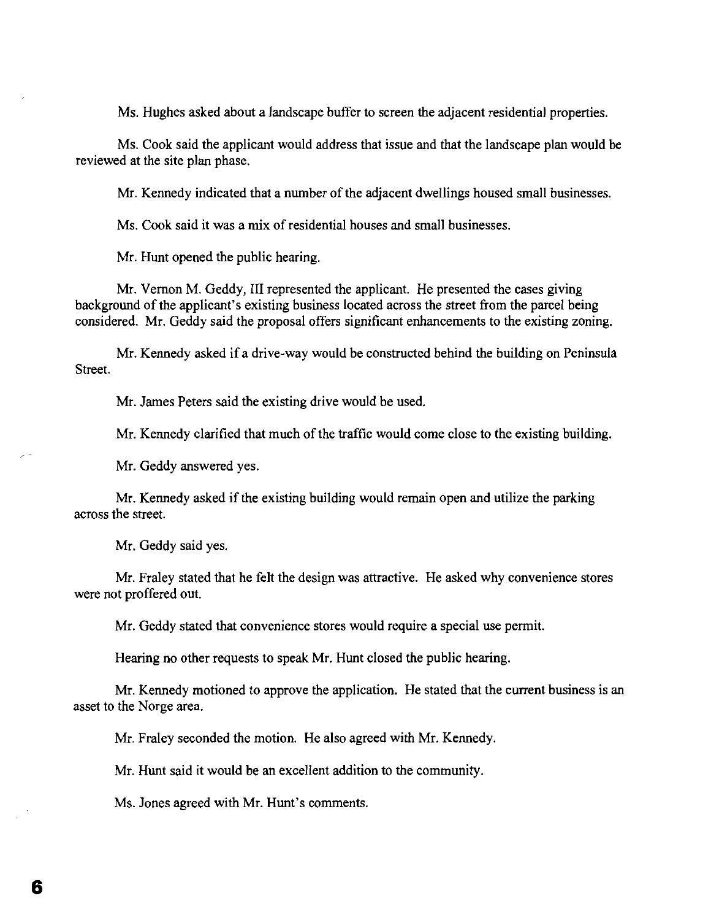Ms. Hughes asked about a landscape buffer to screen the adjacent residential properties.

Ms. Cook said the applicant would address that issue and that the landscape plan would be reviewed at the site plan phase.

Mr. Kennedy indicated that a number of the adjacent dwellings housed small businesses.

Ms. Cook said it was a mix of residential houses and small businesses.

Mr. Hunt opened the public hearing.

Mr. Vernon M. Geddy, III represented the applicant. He presented the cases giving background of the applicant's existing business located across the street from the parcel being considered. Mr. Geddy said the proposal offers significant enhancements to the existing zoning.

Mr. Kennedy asked if a drive-way would be constructed behind the building on Peninsula Street.

Mr. James Peters said the existing drive would be used.

Mr. Kennedy clarified that much of the traffic would come close to the existing building.

Mr. Geddy answered yes.

Mr. Kennedy asked if the existing building would remain open and utilize the parking across the street.

Mr. Geddy said yes.

Mr. Fraley stated that he felt the design was attractive. He asked why convenience stores were not proffered out.

Mr. Geddy stated that convenience stores would require a special use permit.

Hearing no other requests to speak Mr. Hunt closed the public hearing.

Mr. Kennedy motioned to approve the application. He stated that the current business is an asset to the Norge area.

Mr. Fraley seconded the motion. He also agreed with Mr. Kennedy.

Mr. Hunt said it would be an excellent addition to the community.

Ms. Jones agreed with Mr. Hunt's comments.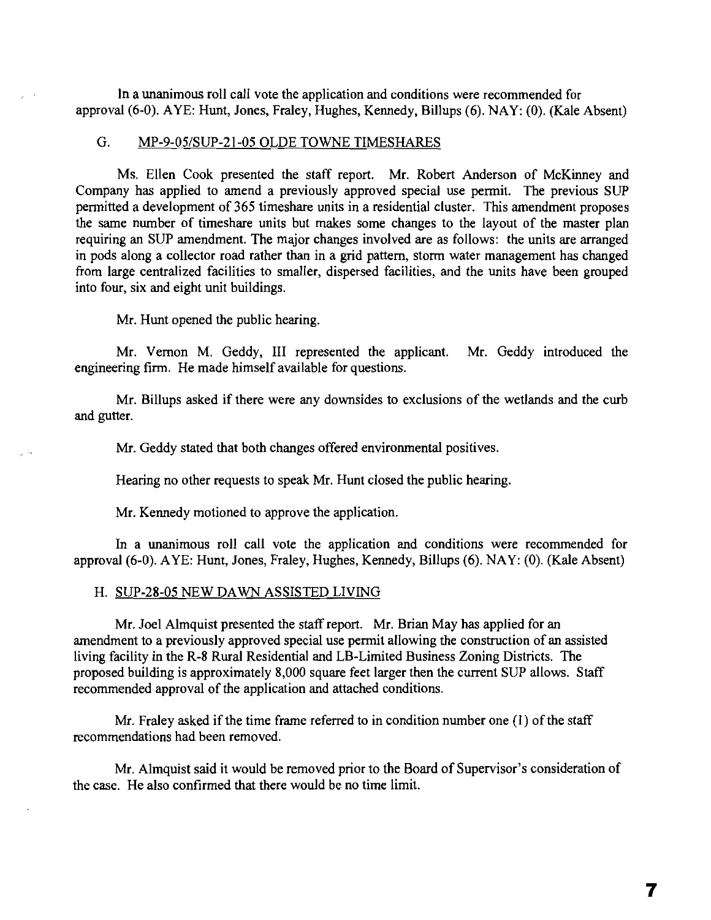In a unanimous roll call vote the application and conditions were recommended for approval (6-0). AYE: Hunt, Jones, Fraley, Hughes, Kennedy, Billups (6). NAY: (0). (Kale Absent)

#### G. MP-9-05/SUP-21-05 OLDE TOWNE TIMESHARES

Ms. Ellen Cook presented the staff report. Mr. Robert Anderson of McKinney and Company has applied to amend a previously approved special use permit. The previous SUP permitted a development of 365 timeshare units in a residential cluster. This amendment proposes the same number of timeshare units but makes some changes to the layout of the master plan requiring an SUP amendment. The major changes involved are as follows: the units are arranged in pods along a collector road rather than in a grid pattern, storm water management has changed from large centralized facilities to smaller, dispersed facilities, and the units have been grouped into four, six and eight unit buildings.

Mr. Hunt opened the public hearing.

Mr. Vernon M. Geddy, III represented the applicant. Mr. Geddy introduced the engineering firm. He made himself available for questions.

Mr. Billups asked if there were any downsides to exclusions of the wetlands and the curb and gutter.

Mr. Geddy stated that both changes offered environmental positives.

Hearing no other requests to speak Mr. Hunt closed the public hearing.

Mr. Kennedy motioned to approve the application.

In a unanimous roll call vote the application and conditions were recommended for approval (6-0). AYE: Hunt, Jones, Fraley, Hughes, Kennedy, Billups (6). NAY: (0). (Kale Absent)

#### H. SUP-28-05 NEW DAWN ASSISTED LIVING

Mr. Joel Almquist presented the staff report. Mr. Brian May has applied for an amendment to a previously approved special use permit allowing the construction of an assisted living facility in the R-8 Rural Residential and LB-Limited Business Zoning Districts. The proposed building is approximately 8,000 square feet larger then the current SUP allows. Staff recommended approval of the application and attached conditions.

Mr. Fraley asked if the time frame referred to in condition number one  $(1)$  of the staff recommendations had been removed.

Mr. Almquist said it would be removed prior to the Board of Supervisor's consideration of the case. He also confirmed that there would be no time limit.

7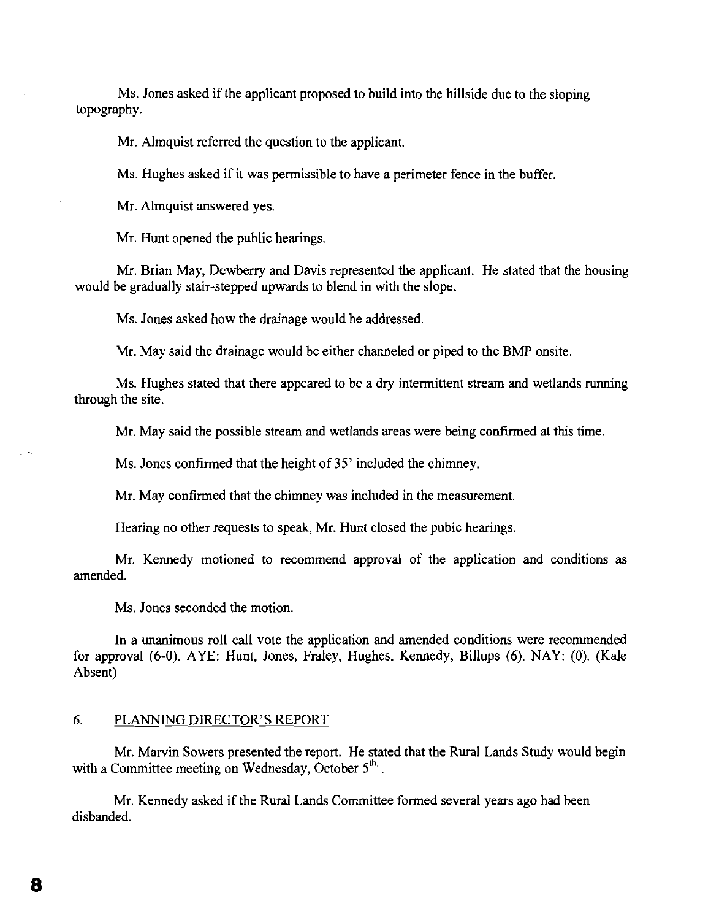Ms. Jones asked if the applicant proposed to build into the hillside due to the sloping topography.

Mr. Almquist referred the question to the applicant.

Ms. Hughes asked if it was permissible to have a perimeter fence in the buffer.

Mr. Almquist answered yes.

Mr. Hunt opened the public hearings.

Mr. Brian May, Dewberry and Davis represented the applicant. He stated that the housing would be gradually stair-stepped upwards to blend in with the slope.

Ms. Jones asked how the drainage would be addressed.

Mr. May said the drainage would be either channeled or piped to the BMP onsite.

Ms. Hughes stated that there appeared to be a dry intermittent stream and wetlands running through the site.

Mr. May said the possible stream and wetlands areas were being confirmed at this time.

Ms. Jones confirmed that the height of 35' included the chimney.

Mr. May confirmed that the chimney was included in the measurement.

Hearing no other requests to speak, Mr. Hunt closed the pubic hearings.

Mr. Kennedy motioned to recommend approval of the application and conditions as amended.

Ms. Jones seconded the motion.

In a unanimous roll call vote the application and amended conditions were recommended for approval (6-0). AYE: Hunt, Jones, Fraley, Hughes, Kennedy, Billups (6). NAY: (0). (Kale Absent)

## 6. PLANNING DIRECTOR'S REPORT

Mr. Marvin Sowers presented the report. He stated that the Rural Lands Study would begin with a Committee meeting on Wednesday, October  $5<sup>th</sup>$ .

Mr. Kennedy asked if the Rural Lands Committee formed several years ago had been disbanded.